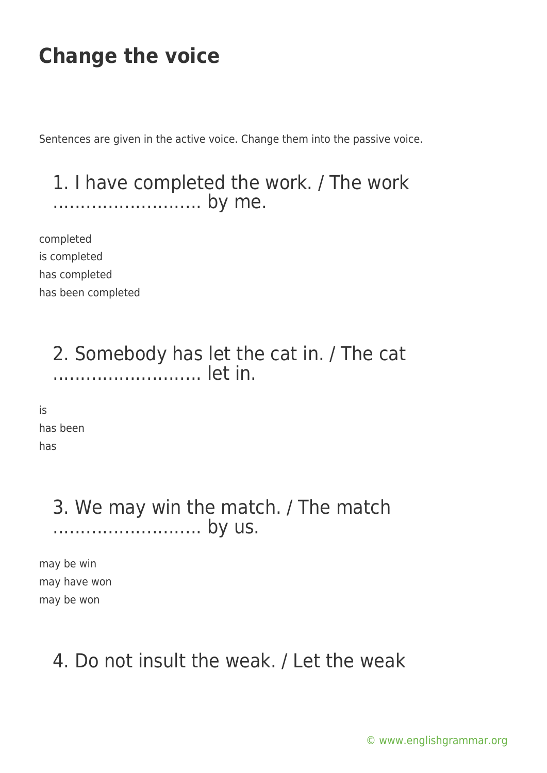Sentences are given in the active voice. Change them into the passive voice.

#### 1. I have completed the work. / The work ........................... by me.

completed is completed has completed has been completed

> 2. Somebody has let the cat in. / The cat ........................... let in.

is has been has

#### 3. We may win the match. / The match ................................. by us.

may be win may have won may be won

### 4. Do not insult the weak. / Let the weak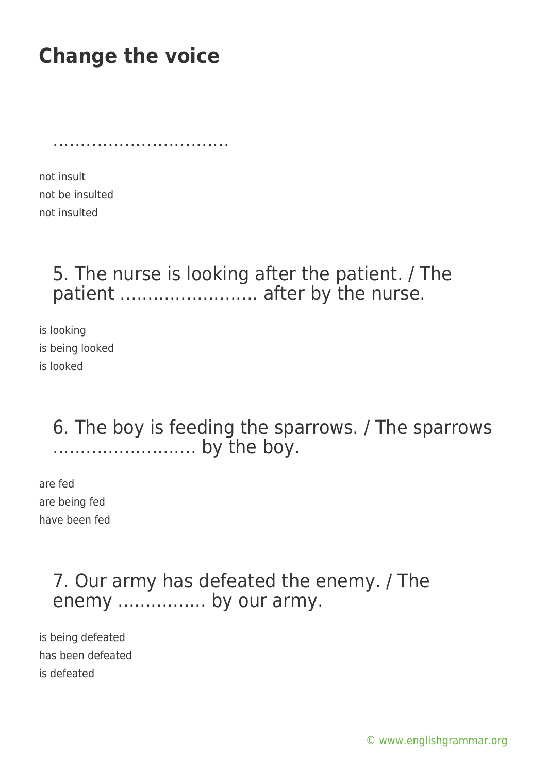................................

not insult not be insulted not insulted

### 5. The nurse is looking after the patient. / The patient ............................... after by the nurse.

is looking is being looked is looked

#### 6. The boy is feeding the sparrows. / The sparrows .......................... by the boy.

are fed are being fed have been fed

### 7. Our army has defeated the enemy. / The enemy ................. by our army.

is being defeated has been defeated is defeated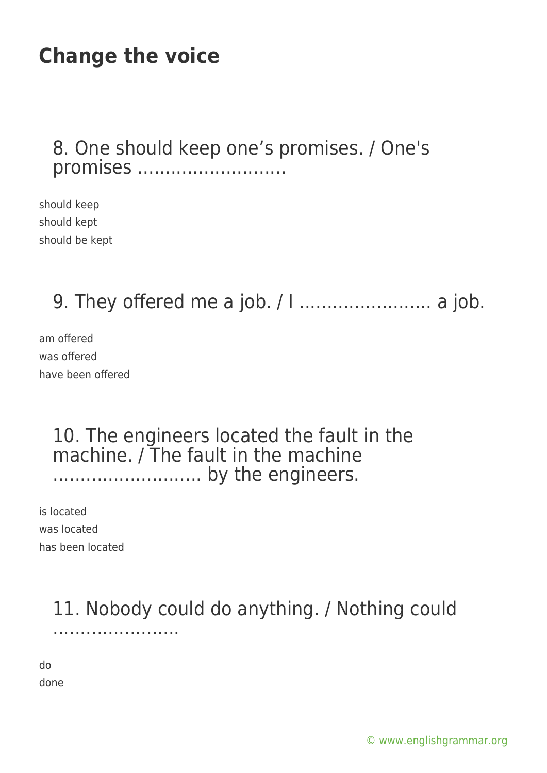#### 8. One should keep one's promises. / One's promises ............................

should keep should kept should be kept

### 9. They offered me a job. / I ........................ a job.

am offered was offered have been offered

#### 10. The engineers located the fault in the machine. / The fault in the machine ........................... by the engineers.

is located was located has been located

### 11. Nobody could do anything. / Nothing could .......................

do done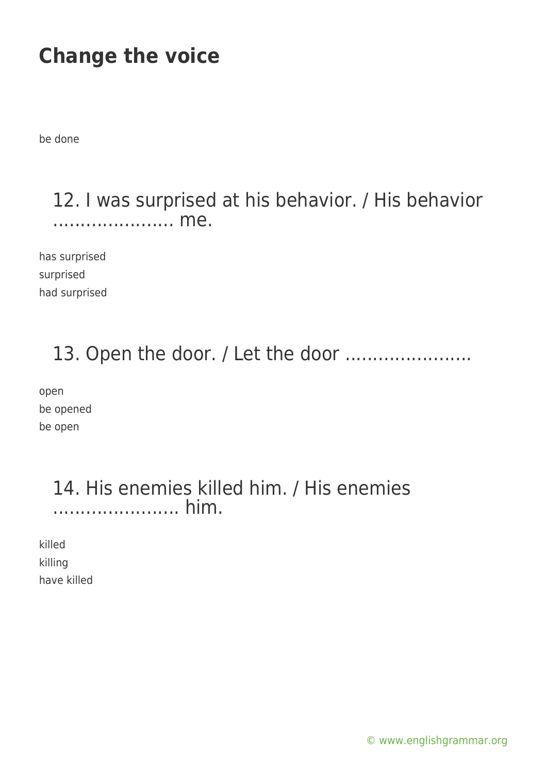be done

#### 12. I was surprised at his behavior. / His behavior ...................... me.

has surprised surprised had surprised

### 13. Open the door. / Let the door .......................

open be opened be open

#### 14. His enemies killed him. / His enemies ....................... him.

killed killing have killed

[© www.englishgrammar.org](https://www.englishgrammar.org/)